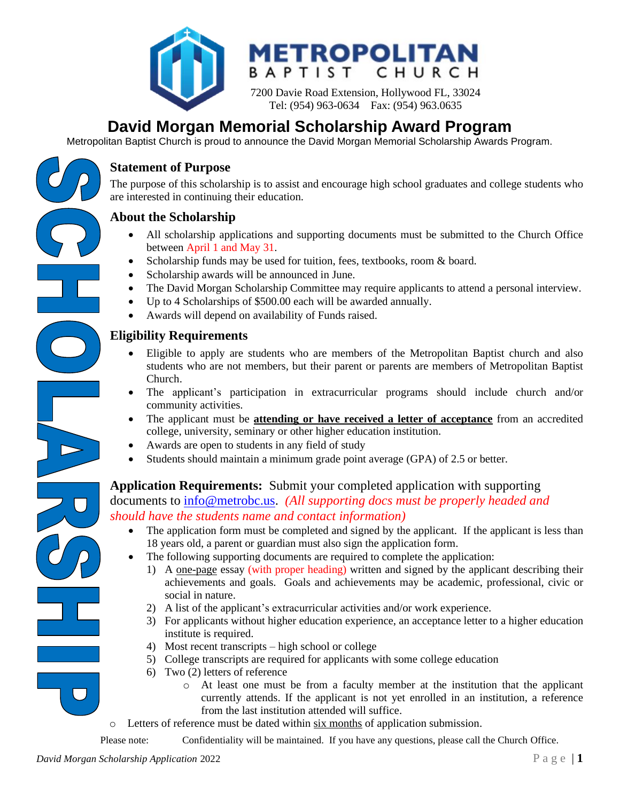



7200 Davie Road Extension, Hollywood FL, 33024 Tel: (954) 963-0634 Fax: (954) 963.0635

#### **David Morgan Memorial Scholarship Award Program** Cholarship Awa

Metropolitan Baptist Church is proud to announce the David Morgan Memorial Scholarship Awards Program.

## **Statement of Purpose**

The purpose of this scholarship is to assist and encourage high school graduates and college students who are interested in continuing their education.

## **About the Scholarship**

- All scholarship applications and supporting documents must be submitted to the Church Office between April 1 and May 31.
- Scholarship funds may be used for tuition, fees, textbooks, room & board.
- Scholarship awards will be announced in June.
- The David Morgan Scholarship Committee may require applicants to attend a personal interview.
- Up to 4 Scholarships of \$500.00 each will be awarded annually.
- Awards will depend on availability of Funds raised.

## **Eligibility Requirements**

- Eligible to apply are students who are members of the Metropolitan Baptist church and also students who are not members, but their parent or parents are members of Metropolitan Baptist Church.
- The applicant's participation in extracurricular programs should include church and/or community activities.
- The applicant must be **attending or have received a letter of acceptance** from an accredited college, university, seminary or other higher education institution.
- Awards are open to students in any field of study
- Students should maintain a minimum grade point average (GPA) of 2.5 or better.

# **Application Requirements:** Submit your completed application with supporting

documents to [info@metrobc.us.](mailto:info@metrobc.us) *(All supporting docs must be properly headed and should have the students name and contact information)*

- The application form must be completed and signed by the applicant. If the applicant is less than 18 years old, a parent or guardian must also sign the application form.
- The following supporting documents are required to complete the application:
	- 1) A one-page essay (with proper heading) written and signed by the applicant describing their achievements and goals. Goals and achievements may be academic, professional, civic or social in nature.
	- 2) A list of the applicant's extracurricular activities and/or work experience.
	- 3) For applicants without higher education experience, an acceptance letter to a higher education institute is required.
	- 4) Most recent transcripts high school or college
	- 5) College transcripts are required for applicants with some college education
	- 6) Two (2) letters of reference
		- o At least one must be from a faculty member at the institution that the applicant currently attends. If the applicant is not yet enrolled in an institution, a reference from the last institution attended will suffice.
- o Letters of reference must be dated within six months of application submission.

Please note: Confidentiality will be maintained. If you have any questions, please call the Church Office.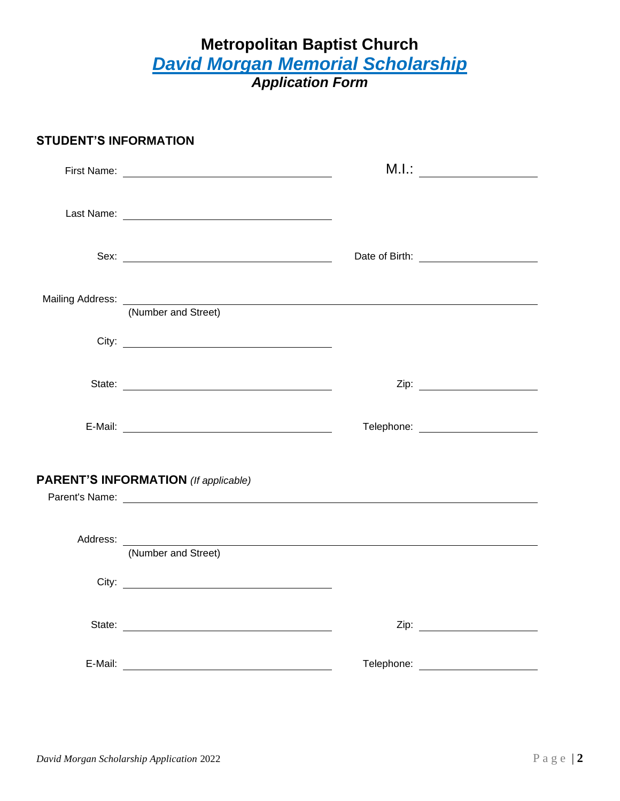# **Metropolitan Baptist Church** *David Morgan Memorial Scholarship Application Form*

### **STUDENT'S INFORMATION**

|                                             | M.I.: _________________________               |
|---------------------------------------------|-----------------------------------------------|
|                                             |                                               |
|                                             | Date of Birth: <u>_______________________</u> |
| Mailing Address: (Number and Street)        |                                               |
|                                             |                                               |
|                                             |                                               |
|                                             | Telephone: ________________________           |
| <b>PARENT'S INFORMATION</b> (If applicable) |                                               |
| (Number and Street)                         |                                               |
|                                             |                                               |
|                                             |                                               |
|                                             | Telephone: _________________________          |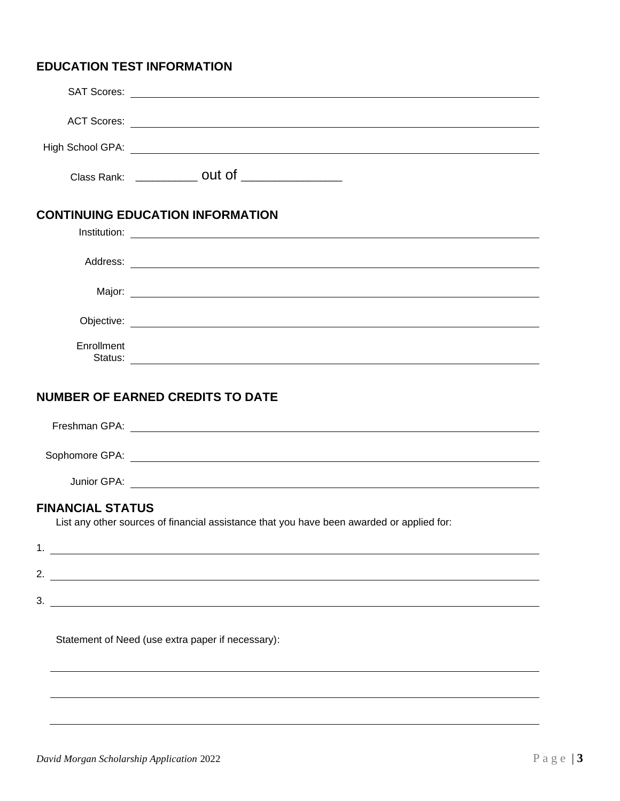## **EDUCATION TEST INFORMATION**

|                         | Class Rank: _______________ OUt of __________________                                     |
|-------------------------|-------------------------------------------------------------------------------------------|
|                         | <b>CONTINUING EDUCATION INFORMATION</b>                                                   |
|                         |                                                                                           |
|                         |                                                                                           |
|                         |                                                                                           |
|                         |                                                                                           |
|                         |                                                                                           |
| Enrollment              |                                                                                           |
|                         | <b>NUMBER OF EARNED CREDITS TO DATE</b>                                                   |
|                         |                                                                                           |
|                         |                                                                                           |
|                         |                                                                                           |
| <b>FINANCIAL STATUS</b> |                                                                                           |
|                         | List any other sources of financial assistance that you have been awarded or applied for: |
|                         |                                                                                           |
|                         | 2. $\qquad \qquad$                                                                        |
|                         | $\overline{\phantom{a}}$ 3.                                                               |
|                         |                                                                                           |

Statement of Need (use extra paper if necessary):